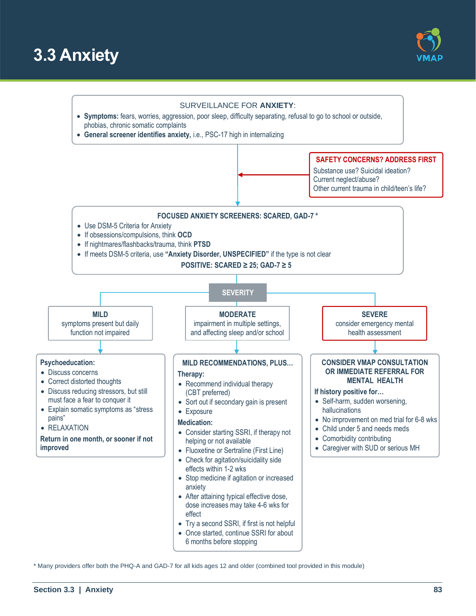





\* Many providers offer both the PHQ-A and GAD-7 for all kids ages 12 and older (combined tool provided in this module)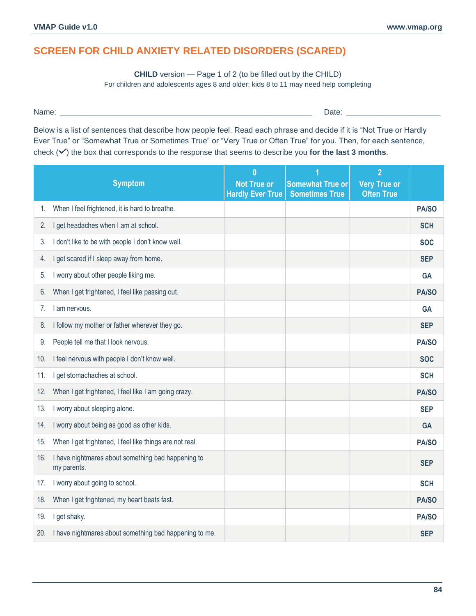**CHILD** version — Page 1 of 2 (to be filled out by the CHILD) For children and adolescents ages 8 and older; kids 8 to 11 may need help completing

Name: \_\_\_\_\_\_\_\_\_\_\_\_\_\_\_\_\_\_\_\_\_\_\_\_\_\_\_\_\_\_\_\_\_\_\_\_\_\_\_\_\_\_\_\_\_\_\_\_\_\_\_\_\_\_\_\_\_\_\_ Date: \_\_\_\_\_\_\_\_\_\_\_\_\_\_\_\_\_\_\_\_\_\_

Below is a list of sentences that describe how people feel. Read each phrase and decide if it is "Not True or Hardly Ever True" or "Somewhat True or Sometimes True" or "Very True or Often True" for you. Then, for each sentence, check  $(\checkmark)$  the box that corresponds to the response that seems to describe you for the last 3 months.

|     | <b>Symptom</b>                                                    | $\bf{0}$<br><b>Not True or</b><br><b>Hardly Ever True</b> | <b>Somewhat True or</b><br><b>Sometimes True</b> | $\overline{2}$<br><b>Very True or</b><br><b>Often True</b> |              |
|-----|-------------------------------------------------------------------|-----------------------------------------------------------|--------------------------------------------------|------------------------------------------------------------|--------------|
| 1.  | When I feel frightened, it is hard to breathe.                    |                                                           |                                                  |                                                            | PA/SO        |
| 2.  | I get headaches when I am at school.                              |                                                           |                                                  |                                                            | <b>SCH</b>   |
| 3.  | I don't like to be with people I don't know well.                 |                                                           |                                                  |                                                            | <b>SOC</b>   |
| 4.  | I get scared if I sleep away from home.                           |                                                           |                                                  |                                                            | <b>SEP</b>   |
| 5.  | I worry about other people liking me.                             |                                                           |                                                  |                                                            | <b>GA</b>    |
| 6.  | When I get frightened, I feel like passing out.                   |                                                           |                                                  |                                                            | PA/SO        |
| 7.  | I am nervous.                                                     |                                                           |                                                  |                                                            | <b>GA</b>    |
| 8.  | I follow my mother or father wherever they go.                    |                                                           |                                                  |                                                            | <b>SEP</b>   |
| 9.  | People tell me that I look nervous.                               |                                                           |                                                  |                                                            | PA/SO        |
| 10. | I feel nervous with people I don't know well.                     |                                                           |                                                  |                                                            | <b>SOC</b>   |
| 11. | I get stomachaches at school.                                     |                                                           |                                                  |                                                            | <b>SCH</b>   |
| 12. | When I get frightened, I feel like I am going crazy.              |                                                           |                                                  |                                                            | <b>PA/SO</b> |
| 13. | I worry about sleeping alone.                                     |                                                           |                                                  |                                                            | <b>SEP</b>   |
| 14. | I worry about being as good as other kids.                        |                                                           |                                                  |                                                            | <b>GA</b>    |
| 15. | When I get frightened, I feel like things are not real.           |                                                           |                                                  |                                                            | PA/SO        |
| 16. | I have nightmares about something bad happening to<br>my parents. |                                                           |                                                  |                                                            | <b>SEP</b>   |
| 17. | I worry about going to school.                                    |                                                           |                                                  |                                                            | <b>SCH</b>   |
| 18. | When I get frightened, my heart beats fast.                       |                                                           |                                                  |                                                            | PA/SO        |
| 19. | I get shaky.                                                      |                                                           |                                                  |                                                            | PA/SO        |
| 20. | I have nightmares about something bad happening to me.            |                                                           |                                                  |                                                            | <b>SEP</b>   |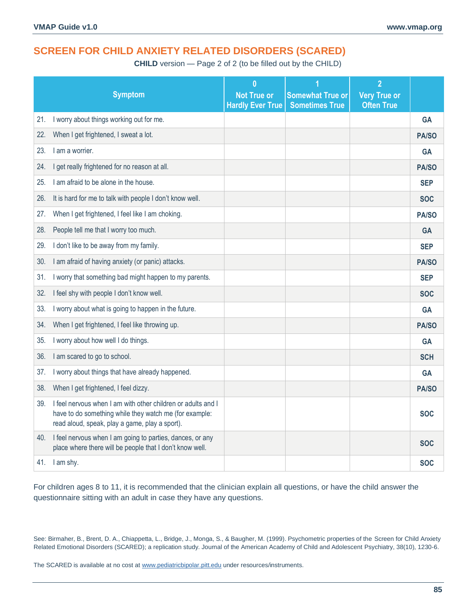**CHILD** version — Page 2 of 2 (to be filled out by the CHILD)

|     | <b>Symptom</b>                                                                                                                                                           | $\overline{0}$<br><b>Not True or</b><br><b>Hardly Ever True</b> | <b>Somewhat True or</b><br><b>Sometimes True</b> | $\overline{2}$<br><b>Very True or</b><br><b>Often True</b> |            |
|-----|--------------------------------------------------------------------------------------------------------------------------------------------------------------------------|-----------------------------------------------------------------|--------------------------------------------------|------------------------------------------------------------|------------|
| 21. | I worry about things working out for me.                                                                                                                                 |                                                                 |                                                  |                                                            | <b>GA</b>  |
| 22. | When I get frightened, I sweat a lot.                                                                                                                                    |                                                                 |                                                  |                                                            | PA/SO      |
| 23. | I am a worrier.                                                                                                                                                          |                                                                 |                                                  |                                                            | <b>GA</b>  |
| 24. | I get really frightened for no reason at all.                                                                                                                            |                                                                 |                                                  |                                                            | PA/SO      |
| 25. | I am afraid to be alone in the house.                                                                                                                                    |                                                                 |                                                  |                                                            | <b>SEP</b> |
| 26. | It is hard for me to talk with people I don't know well.                                                                                                                 |                                                                 |                                                  |                                                            | <b>SOC</b> |
| 27. | When I get frightened, I feel like I am choking.                                                                                                                         |                                                                 |                                                  |                                                            | PA/SO      |
| 28. | People tell me that I worry too much.                                                                                                                                    |                                                                 |                                                  |                                                            | <b>GA</b>  |
| 29. | I don't like to be away from my family.                                                                                                                                  |                                                                 |                                                  |                                                            | <b>SEP</b> |
| 30. | I am afraid of having anxiety (or panic) attacks.                                                                                                                        |                                                                 |                                                  |                                                            | PA/SO      |
| 31. | I worry that something bad might happen to my parents.                                                                                                                   |                                                                 |                                                  |                                                            | <b>SEP</b> |
| 32. | I feel shy with people I don't know well.                                                                                                                                |                                                                 |                                                  |                                                            | <b>SOC</b> |
| 33. | I worry about what is going to happen in the future.                                                                                                                     |                                                                 |                                                  |                                                            | <b>GA</b>  |
| 34. | When I get frightened, I feel like throwing up.                                                                                                                          |                                                                 |                                                  |                                                            | PA/SO      |
| 35. | I worry about how well I do things.                                                                                                                                      |                                                                 |                                                  |                                                            | <b>GA</b>  |
| 36. | I am scared to go to school.                                                                                                                                             |                                                                 |                                                  |                                                            | <b>SCH</b> |
| 37. | I worry about things that have already happened.                                                                                                                         |                                                                 |                                                  |                                                            | <b>GA</b>  |
| 38. | When I get frightened, I feel dizzy.                                                                                                                                     |                                                                 |                                                  |                                                            | PA/SO      |
| 39. | I feel nervous when I am with other children or adults and I<br>have to do something while they watch me (for example:<br>read aloud, speak, play a game, play a sport). |                                                                 |                                                  |                                                            | <b>SOC</b> |
| 40. | I feel nervous when I am going to parties, dances, or any<br>place where there will be people that I don't know well.                                                    |                                                                 |                                                  |                                                            | <b>SOC</b> |
|     | 41. I am shy.                                                                                                                                                            |                                                                 |                                                  |                                                            | <b>SOC</b> |

For children ages 8 to 11, it is recommended that the clinician explain all questions, or have the child answer the questionnaire sitting with an adult in case they have any questions.

See: Birmaher, B., Brent, D. A., Chiappetta, L., Bridge, J., Monga, S., & Baugher, M. (1999). Psychometric properties of the Screen for Child Anxiety Related Emotional Disorders (SCARED); a replication study. Journal of the American Academy of Child and Adolescent Psychiatry, 38(10), 1230-6.

The SCARED is available at no cost a[t www.pediatricbipolar.pitt.edu](http://www.pediatricbipolar.pitt.edu/) under resources/instruments.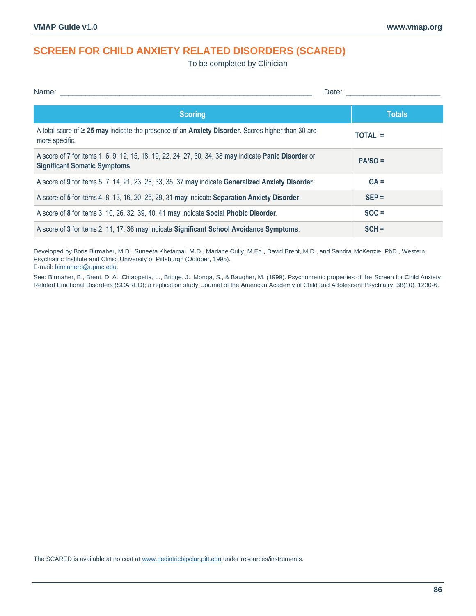To be completed by Clinician

| Name: __                                                                                                                                      | Date:         |
|-----------------------------------------------------------------------------------------------------------------------------------------------|---------------|
| <b>Scoring</b>                                                                                                                                | <b>Totals</b> |
| A total score of $\geq$ 25 may indicate the presence of an Anxiety Disorder. Scores higher than 30 are<br>more specific.                      | TOTAL =       |
| A score of 7 for items 1, 6, 9, 12, 15, 18, 19, 22, 24, 27, 30, 34, 38 may indicate Panic Disorder or<br><b>Significant Somatic Symptoms.</b> | $PA/SO =$     |
| A score of 9 for items 5, 7, 14, 21, 23, 28, 33, 35, 37 may indicate Generalized Anxiety Disorder.                                            | $GA =$        |
| A score of 5 for items 4, 8, 13, 16, 20, 25, 29, 31 may indicate Separation Anxiety Disorder.                                                 | $SEP =$       |
| A score of 8 for items 3, 10, 26, 32, 39, 40, 41 may indicate Social Phobic Disorder.                                                         | $SOC =$       |
| A score of 3 for items 2, 11, 17, 36 may indicate Significant School Avoidance Symptoms.                                                      | $SCH =$       |

Developed by Boris Birmaher, M.D., Suneeta Khetarpal, M.D., Marlane Cully, M.Ed., David Brent, M.D., and Sandra McKenzie, PhD., Western Psychiatric Institute and Clinic, University of Pittsburgh (October, 1995). E-mail[: birmaherb@upmc.edu.](mailto:birmaherb@upmc.edu)

See: Birmaher, B., Brent, D. A., Chiappetta, L., Bridge, J., Monga, S., & Baugher, M. (1999). Psychometric properties of the Screen for Child Anxiety Related Emotional Disorders (SCARED); a replication study. Journal of the American Academy of Child and Adolescent Psychiatry, 38(10), 1230-6.

The SCARED is available at no cost a[t www.pediatricbipolar.pitt.edu](http://www.pediatricbipolar.pitt.edu/) under resources/instruments.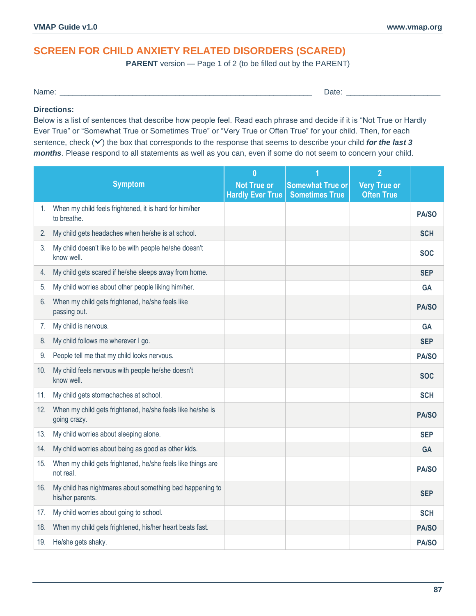**PARENT** version — Page 1 of 2 (to be filled out by the PARENT)

Name: \_\_\_\_\_\_\_\_\_\_\_\_\_\_\_\_\_\_\_\_\_\_\_\_\_\_\_\_\_\_\_\_\_\_\_\_\_\_\_\_\_\_\_\_\_\_\_\_\_\_\_\_\_\_\_\_\_\_\_ Date: \_\_\_\_\_\_\_\_\_\_\_\_\_\_\_\_\_\_\_\_\_\_

### **Directions:**

Below is a list of sentences that describe how people feel. Read each phrase and decide if it is "Not True or Hardly Ever True" or "Somewhat True or Sometimes True" or "Very True or Often True" for your child. Then, for each sentence, check ( $\vee$ ) the box that corresponds to the response that seems to describe your child *for the last 3 months*. Please respond to all statements as well as you can, even if some do not seem to concern your child.

|     |                                                                              | $\bf{0}$                                      |                                                  | $\overline{2}$                           |              |
|-----|------------------------------------------------------------------------------|-----------------------------------------------|--------------------------------------------------|------------------------------------------|--------------|
|     | <b>Symptom</b>                                                               | <b>Not True or</b><br><b>Hardly Ever True</b> | <b>Somewhat True or</b><br><b>Sometimes True</b> | <b>Very True or</b><br><b>Often True</b> |              |
| 1.  | When my child feels frightened, it is hard for him/her<br>to breathe.        |                                               |                                                  |                                          | PA/SO        |
| 2.  | My child gets headaches when he/she is at school.                            |                                               |                                                  |                                          | <b>SCH</b>   |
| 3.  | My child doesn't like to be with people he/she doesn't<br>know well.         |                                               |                                                  |                                          | <b>SOC</b>   |
| 4.  | My child gets scared if he/she sleeps away from home.                        |                                               |                                                  |                                          | <b>SEP</b>   |
| 5.  | My child worries about other people liking him/her.                          |                                               |                                                  |                                          | <b>GA</b>    |
| 6.  | When my child gets frightened, he/she feels like<br>passing out.             |                                               |                                                  |                                          | PA/SO        |
| 7.  | My child is nervous.                                                         |                                               |                                                  |                                          | <b>GA</b>    |
| 8.  | My child follows me wherever I go.                                           |                                               |                                                  |                                          | <b>SEP</b>   |
| 9.  | People tell me that my child looks nervous.                                  |                                               |                                                  |                                          | PA/SO        |
| 10. | My child feels nervous with people he/she doesn't<br>know well.              |                                               |                                                  |                                          | <b>SOC</b>   |
| 11. | My child gets stomachaches at school.                                        |                                               |                                                  |                                          | <b>SCH</b>   |
| 12. | When my child gets frightened, he/she feels like he/she is<br>going crazy.   |                                               |                                                  |                                          | PA/SO        |
| 13. | My child worries about sleeping alone.                                       |                                               |                                                  |                                          | <b>SEP</b>   |
| 14. | My child worries about being as good as other kids.                          |                                               |                                                  |                                          | <b>GA</b>    |
| 15. | When my child gets frightened, he/she feels like things are<br>not real.     |                                               |                                                  |                                          | PA/SO        |
| 16. | My child has nightmares about something bad happening to<br>his/her parents. |                                               |                                                  |                                          | <b>SEP</b>   |
| 17. | My child worries about going to school.                                      |                                               |                                                  |                                          | <b>SCH</b>   |
| 18. | When my child gets frightened, his/her heart beats fast.                     |                                               |                                                  |                                          | PA/SO        |
| 19. | He/she gets shaky.                                                           |                                               |                                                  |                                          | <b>PA/SO</b> |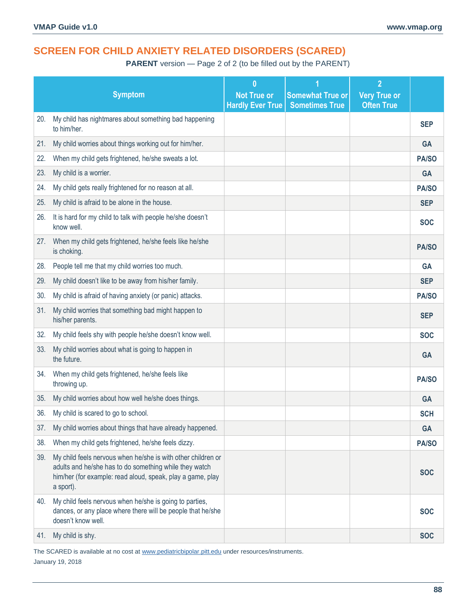**PARENT** version — Page 2 of 2 (to be filled out by the PARENT)

|     |                                                                                                                                                                                                   | $\bf{0}$                                      |                                                  | $\overline{2}$                           |              |
|-----|---------------------------------------------------------------------------------------------------------------------------------------------------------------------------------------------------|-----------------------------------------------|--------------------------------------------------|------------------------------------------|--------------|
|     | <b>Symptom</b>                                                                                                                                                                                    | <b>Not True or</b><br><b>Hardly Ever True</b> | <b>Somewhat True or</b><br><b>Sometimes True</b> | <b>Very True or</b><br><b>Often True</b> |              |
| 20. | My child has nightmares about something bad happening                                                                                                                                             |                                               |                                                  |                                          |              |
|     | to him/her.                                                                                                                                                                                       |                                               |                                                  |                                          | <b>SEP</b>   |
| 21. | My child worries about things working out for him/her.                                                                                                                                            |                                               |                                                  |                                          | <b>GA</b>    |
| 22. | When my child gets frightened, he/she sweats a lot.                                                                                                                                               |                                               |                                                  |                                          | PA/SO        |
| 23. | My child is a worrier.                                                                                                                                                                            |                                               |                                                  |                                          | <b>GA</b>    |
| 24. | My child gets really frightened for no reason at all.                                                                                                                                             |                                               |                                                  |                                          | PA/SO        |
| 25. | My child is afraid to be alone in the house.                                                                                                                                                      |                                               |                                                  |                                          | <b>SEP</b>   |
| 26. | It is hard for my child to talk with people he/she doesn't<br>know well.                                                                                                                          |                                               |                                                  |                                          | <b>SOC</b>   |
| 27. | When my child gets frightened, he/she feels like he/she<br>is choking.                                                                                                                            |                                               |                                                  |                                          | <b>PA/SO</b> |
| 28. | People tell me that my child worries too much.                                                                                                                                                    |                                               |                                                  |                                          | <b>GA</b>    |
| 29. | My child doesn't like to be away from his/her family.                                                                                                                                             |                                               |                                                  |                                          | <b>SEP</b>   |
| 30. | My child is afraid of having anxiety (or panic) attacks.                                                                                                                                          |                                               |                                                  |                                          | <b>PA/SO</b> |
| 31. | My child worries that something bad might happen to<br>his/her parents.                                                                                                                           |                                               |                                                  |                                          | <b>SEP</b>   |
| 32. | My child feels shy with people he/she doesn't know well.                                                                                                                                          |                                               |                                                  |                                          | <b>SOC</b>   |
| 33. | My child worries about what is going to happen in<br>the future.                                                                                                                                  |                                               |                                                  |                                          | <b>GA</b>    |
| 34. | When my child gets frightened, he/she feels like<br>throwing up.                                                                                                                                  |                                               |                                                  |                                          | <b>PA/SO</b> |
| 35. | My child worries about how well he/she does things.                                                                                                                                               |                                               |                                                  |                                          | <b>GA</b>    |
| 36. | My child is scared to go to school.                                                                                                                                                               |                                               |                                                  |                                          | <b>SCH</b>   |
| 37. | My child worries about things that have already happened.                                                                                                                                         |                                               |                                                  |                                          | <b>GA</b>    |
| 38. | When my child gets frightened, he/she feels dizzy.                                                                                                                                                |                                               |                                                  |                                          | PA/SO        |
| 39. | My child feels nervous when he/she is with other children or<br>adults and he/she has to do something while they watch<br>him/her (for example: read aloud, speak, play a game, play<br>a sport). |                                               |                                                  |                                          | <b>SOC</b>   |
| 40. | My child feels nervous when he/she is going to parties,<br>dances, or any place where there will be people that he/she<br>doesn't know well.                                                      |                                               |                                                  |                                          | <b>SOC</b>   |
| 41. | My child is shy.                                                                                                                                                                                  |                                               |                                                  |                                          | <b>SOC</b>   |

The SCARED is available at no cost a[t www.pediatricbipolar.pitt.edu](http://www.pediatricbipolar.pitt.edu/) under resources/instruments. January 19, 2018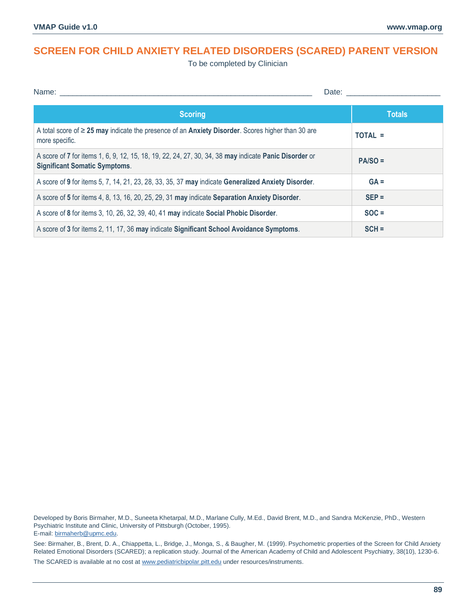# **SCREEN FOR CHILD ANXIETY RELATED DISORDERS (SCARED) PARENT VERSION**

To be completed by Clinician

| Name:                                                                                                                                         | Date:         |
|-----------------------------------------------------------------------------------------------------------------------------------------------|---------------|
| <b>Scoring</b>                                                                                                                                | <b>Totals</b> |
| A total score of $\geq$ 25 may indicate the presence of an Anxiety Disorder. Scores higher than 30 are<br>more specific.                      | TOTAL =       |
| A score of 7 for items 1, 6, 9, 12, 15, 18, 19, 22, 24, 27, 30, 34, 38 may indicate Panic Disorder or<br><b>Significant Somatic Symptoms.</b> | $PA/SO =$     |
| A score of 9 for items 5, 7, 14, 21, 23, 28, 33, 35, 37 may indicate Generalized Anxiety Disorder.                                            | $GA =$        |
| A score of 5 for items 4, 8, 13, 16, 20, 25, 29, 31 may indicate Separation Anxiety Disorder.                                                 | $SEP =$       |
| A score of 8 for items 3, 10, 26, 32, 39, 40, 41 may indicate Social Phobic Disorder.                                                         | $SOC =$       |
| A score of 3 for items 2, 11, 17, 36 may indicate Significant School Avoidance Symptoms.                                                      | $SCH =$       |

Developed by Boris Birmaher, M.D., Suneeta Khetarpal, M.D., Marlane Cully, M.Ed., David Brent, M.D., and Sandra McKenzie, PhD., Western Psychiatric Institute and Clinic, University of Pittsburgh (October, 1995). E-mail[: birmaherb@upmc.edu.](mailto:birmaherb@upmc.edu)

See: Birmaher, B., Brent, D. A., Chiappetta, L., Bridge, J., Monga, S., & Baugher, M. (1999). Psychometric properties of the Screen for Child Anxiety Related Emotional Disorders (SCARED); a replication study. Journal of the American Academy of Child and Adolescent Psychiatry, 38(10), 1230-6.

The SCARED is available at no cost a[t www.pediatricbipolar.pitt.edu](http://www.pediatricbipolar.pitt.edu/) under resources/instruments.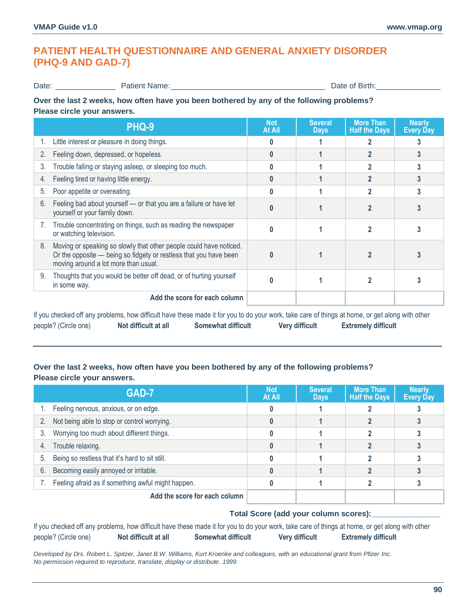# **PATIENT HEALTH QUESTIONNAIRE AND GENERAL ANXIETY DISORDER (PHQ-9 AND GAD-7)**

Date: \_\_\_\_\_\_\_\_\_\_\_\_\_\_ Patient Name:\_\_\_\_\_\_\_\_\_\_\_\_\_\_\_\_\_\_\_\_\_\_\_\_\_\_\_\_\_\_\_\_\_\_\_\_ Date of Birth:\_\_\_\_\_\_\_\_\_\_\_\_\_\_\_

### **Over the last 2 weeks, how often have you been bothered by any of the following problems? Please circle your answers.**

|                                                                                          | PHQ-9                                                                                                                                                                           | <b>Not</b><br>At All | <b>Several</b><br><b>Days</b> | <b>More Than</b><br><b>Half the Days</b> | <b>Nearly</b><br><b>Every Day</b> |
|------------------------------------------------------------------------------------------|---------------------------------------------------------------------------------------------------------------------------------------------------------------------------------|----------------------|-------------------------------|------------------------------------------|-----------------------------------|
|                                                                                          | Little interest or pleasure in doing things.                                                                                                                                    |                      |                               |                                          |                                   |
| 2.                                                                                       | Feeling down, depressed, or hopeless.                                                                                                                                           | 0                    |                               |                                          | 3                                 |
| 3.                                                                                       | Trouble falling or staying asleep, or sleeping too much.                                                                                                                        |                      |                               |                                          | 3                                 |
| 4.                                                                                       | Feeling tired or having little energy.                                                                                                                                          |                      |                               |                                          |                                   |
| 5.                                                                                       | Poor appetite or overeating.                                                                                                                                                    |                      |                               |                                          | 3                                 |
| 6.                                                                                       | Feeling bad about yourself - or that you are a failure or have let<br>yourself or your family down.                                                                             |                      |                               |                                          |                                   |
|                                                                                          | Trouble concentrating on things, such as reading the newspaper<br>or watching television.                                                                                       |                      |                               |                                          |                                   |
| 8.                                                                                       | Moving or speaking so slowly that other people could have noticed.<br>Or the opposite — being so fidgety or restless that you have been<br>moving around a lot more than usual. |                      |                               |                                          |                                   |
| Thoughts that you would be better off dead, or of hurting yourself<br>9.<br>in some way. |                                                                                                                                                                                 |                      |                               |                                          |                                   |
|                                                                                          | Add the score for each column                                                                                                                                                   |                      |                               |                                          |                                   |

If you checked off any problems, how difficult have these made it for you to do your work, take care of things at home, or get along with other people? (Circle one) **Not difficult at all Somewhat difficult Very difficult Extremely difficult**

## **Over the last 2 weeks, how often have you been bothered by any of the following problems? Please circle your answers.**

|    | GAD-7                                              | Not<br>At All | <b>Several</b><br><b>Days</b> | <b>More Than</b><br><b>Half the Days</b> | <b>Nearly</b><br><b>Every Day</b> |
|----|----------------------------------------------------|---------------|-------------------------------|------------------------------------------|-----------------------------------|
|    | Feeling nervous, anxious, or on edge.              |               |                               |                                          |                                   |
|    | Not being able to stop or control worrying.        |               |                               |                                          |                                   |
| 3. | Worrying too much about different things.          |               |                               |                                          |                                   |
| 4. | Trouble relaxing.                                  |               |                               |                                          |                                   |
| 5. | Being so restless that it's hard to sit still.     |               |                               |                                          |                                   |
| 6. | Becoming easily annoyed or irritable.              |               |                               |                                          |                                   |
|    | Feeling afraid as if something awful might happen. |               |                               |                                          |                                   |
|    | Add the score for each column                      |               |                               |                                          |                                   |

## **Total Score (add your column scores):\_\_\_\_\_\_\_\_\_\_\_\_\_\_\_\_**

|                      |                      |                           |                       | If you checked off any problems, how difficult have these made it for you to do your work, take care of things at home, or get along with other |  |
|----------------------|----------------------|---------------------------|-----------------------|-------------------------------------------------------------------------------------------------------------------------------------------------|--|
| people? (Circle one) | Not difficult at all | <b>Somewhat difficult</b> | <b>Very difficult</b> | <b>Extremely difficult</b>                                                                                                                      |  |

*Developed by Drs. Robert L. Spitzer, Janet B.W. Williams, Kurt Kroenke and colleagues, with an educational grant from Pfizer Inc. No permission required to reproduce, translate, display or distribute. 1999.*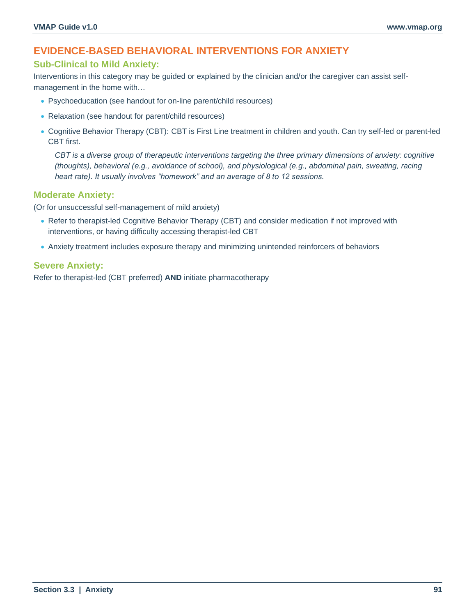## **EVIDENCE-BASED BEHAVIORAL INTERVENTIONS FOR ANXIETY**

## **Sub-Clinical to Mild Anxiety:**

Interventions in this category may be guided or explained by the clinician and/or the caregiver can assist selfmanagement in the home with…

- Psychoeducation (see handout for on-line parent/child resources)
- Relaxation (see handout for parent/child resources)
- Cognitive Behavior Therapy (CBT): CBT is First Line treatment in children and youth. Can try self-led or parent-led CBT first.

*CBT is a diverse group of therapeutic interventions targeting the three primary dimensions of anxiety: cognitive (thoughts), behavioral (e.g., avoidance of school), and physiological (e.g., abdominal pain, sweating, racing heart rate). It usually involves "homework" and an average of 8 to 12 sessions.*

### **Moderate Anxiety:**

(Or for unsuccessful self-management of mild anxiety)

- Refer to therapist-led Cognitive Behavior Therapy (CBT) and consider medication if not improved with interventions, or having difficulty accessing therapist-led CBT
- Anxiety treatment includes exposure therapy and minimizing unintended reinforcers of behaviors

### **Severe Anxiety:**

Refer to therapist-led (CBT preferred) **AND** initiate pharmacotherapy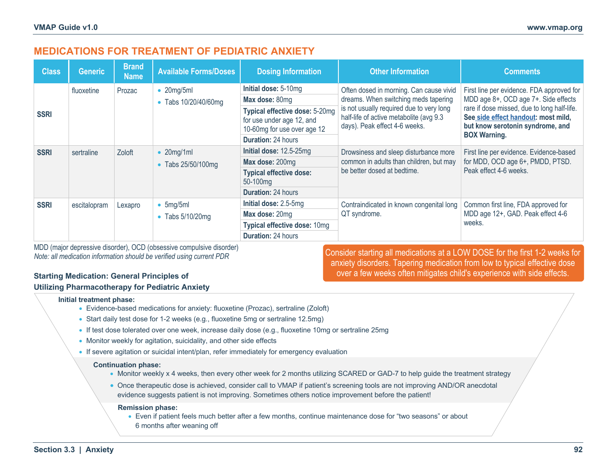## **MEDICATIONS FOR TREATMENT OF PEDIATRIC ANXIETY**

| <b>Class</b> | <b>Generic</b> | <b>Brand</b><br><b>Name</b> | <b>Available Forms/Doses</b> | <b>Dosing Information</b>                                                                                                                                                                                          | <b>Other Information</b>                 | <b>Comments</b>                                                                                                        |
|--------------|----------------|-----------------------------|------------------------------|--------------------------------------------------------------------------------------------------------------------------------------------------------------------------------------------------------------------|------------------------------------------|------------------------------------------------------------------------------------------------------------------------|
|              | fluoxetine     | Prozac                      | $\bullet$ 20mg/5ml           | Initial dose: 5-10mg                                                                                                                                                                                               | Often dosed in morning. Can cause vivid  | First line per evidence. FDA approved for                                                                              |
|              |                |                             | • Tabs 10/20/40/60mg         | Max dose: 80mg                                                                                                                                                                                                     | dreams. When switching meds tapering     | MDD age 8+, OCD age 7+. Side effects                                                                                   |
| <b>SSRI</b>  |                |                             |                              | is not usually required due to very long<br>Typical effective dose: 5-20mg<br>half-life of active metabolite (avg 9.3<br>for use under age 12, and<br>days). Peak effect 4-6 weeks.<br>10-60mg for use over age 12 |                                          | rare if dose missed, due to long half-life.<br>See side effect handout: most mild,<br>but know serotonin syndrome, and |
|              |                |                             |                              | <b>Duration: 24 hours</b>                                                                                                                                                                                          |                                          | <b>BOX Warning.</b>                                                                                                    |
| <b>SSRI</b>  | sertraline     | Zoloft                      | $\bullet$ 20mg/1ml           | Initial dose: 12.5-25mg                                                                                                                                                                                            | Drowsiness and sleep disturbance more    | First line per evidence. Evidence-based                                                                                |
|              |                |                             | • Tabs 25/50/100mg           | Max dose: 200mg                                                                                                                                                                                                    | common in adults than children, but may  | for MDD, OCD age 6+, PMDD, PTSD.                                                                                       |
|              |                |                             |                              | <b>Typical effective dose:</b><br>50-100mg                                                                                                                                                                         | be better dosed at bedtime.              | Peak effect 4-6 weeks.                                                                                                 |
|              |                |                             |                              | <b>Duration: 24 hours</b>                                                                                                                                                                                          |                                          |                                                                                                                        |
| <b>SSRI</b>  | escitalopram   | Lexapro                     | $\bullet$ 5mg/5ml            | Initial dose: 2.5-5mg                                                                                                                                                                                              | Contraindicated in known congenital long | Common first line, FDA approved for                                                                                    |
|              |                |                             | $\bullet$ Tabs 5/10/20mg     | Max dose: 20mg                                                                                                                                                                                                     | QT syndrome.                             | MDD age 12+, GAD. Peak effect 4-6                                                                                      |
|              |                |                             |                              | Typical effective dose: 10mg                                                                                                                                                                                       |                                          | weeks.                                                                                                                 |
|              |                |                             |                              | <b>Duration: 24 hours</b>                                                                                                                                                                                          |                                          |                                                                                                                        |

MDD (major depressive disorder), OCD (obsessive compulsive disorder) *Note: all medication information should be verified using current PDR*

### **Starting Medication: General Principles of Utilizing Pharmacotherapy for Pediatric Anxiety**

Consider starting all medications at a LOW DOSE for the first 1-2 weeks for anxiety disorders. Tapering medication from low to typical effective dose over a few weeks often mitigates child's experience with side effects.

#### **Initial treatment phase:**

- Evidence-based medications for anxiety: fluoxetine (Prozac), sertraline (Zoloft)
- Start daily test dose for 1-2 weeks (e.g., fluoxetine 5mg or sertraline 12.5mg)
- If test dose tolerated over one week, increase daily dose (e.g., fluoxetine 10mg or sertraline 25mg
- Monitor weekly for agitation, suicidality, and other side effects
- If severe agitation or suicidal intent/plan, refer immediately for emergency evaluation

#### **Continuation phase:**

- Monitor weekly x 4 weeks, then every other week for 2 months utilizing SCARED or GAD-7 to help quide the treatment strategy
- Once therapeutic dose is achieved, consider call to VMAP if patient's screening tools are not improving AND/OR anecdotal evidence suggests patient is not improving. Sometimes others notice improvement before the patient!

#### **Remission phase:**

• Even if patient feels much better after a few months, continue maintenance dose for "two seasons" or about 6 months after weaning off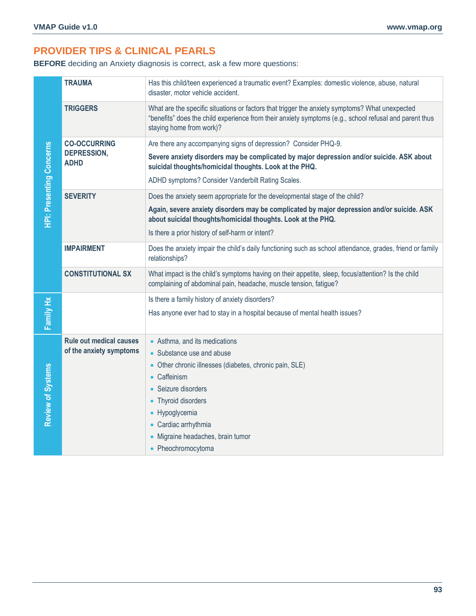# **PROVIDER TIPS & CLINICAL PEARLS**

**BEFORE** deciding an Anxiety diagnosis is correct, ask a few more questions:

|                                 | <b>TRAUMA</b>                     | Has this child/teen experienced a traumatic event? Examples: domestic violence, abuse, natural<br>disaster, motor vehicle accident.                                                                                                  |
|---------------------------------|-----------------------------------|--------------------------------------------------------------------------------------------------------------------------------------------------------------------------------------------------------------------------------------|
|                                 | <b>TRIGGERS</b>                   | What are the specific situations or factors that trigger the anxiety symptoms? What unexpected<br>"benefits" does the child experience from their anxiety symptoms (e.g., school refusal and parent thus<br>staying home from work)? |
|                                 | <b>CO-OCCURRING</b>               | Are there any accompanying signs of depression? Consider PHQ-9.                                                                                                                                                                      |
| <b>HPI: Presenting Concerns</b> | <b>DEPRESSION,</b><br><b>ADHD</b> | Severe anxiety disorders may be complicated by major depression and/or suicide. ASK about<br>suicidal thoughts/homicidal thoughts. Look at the PHQ.                                                                                  |
|                                 |                                   | ADHD symptoms? Consider Vanderbilt Rating Scales.                                                                                                                                                                                    |
|                                 | <b>SEVERITY</b>                   | Does the anxiety seem appropriate for the developmental stage of the child?                                                                                                                                                          |
|                                 |                                   | Again, severe anxiety disorders may be complicated by major depression and/or suicide. ASK<br>about suicidal thoughts/homicidal thoughts. Look at the PHQ.                                                                           |
|                                 |                                   | Is there a prior history of self-harm or intent?                                                                                                                                                                                     |
|                                 | <b>IMPAIRMENT</b>                 | Does the anxiety impair the child's daily functioning such as school attendance, grades, friend or family<br>relationships?                                                                                                          |
|                                 | <b>CONSTITUTIONAL SX</b>          | What impact is the child's symptoms having on their appetite, sleep, focus/attention? Is the child<br>complaining of abdominal pain, headache, muscle tension, fatigue?                                                              |
|                                 |                                   | Is there a family history of anxiety disorders?                                                                                                                                                                                      |
| Family Hx                       |                                   | Has anyone ever had to stay in a hospital because of mental health issues?                                                                                                                                                           |
|                                 | <b>Rule out medical causes</b>    | • Asthma, and its medications                                                                                                                                                                                                        |
|                                 | of the anxiety symptoms           | • Substance use and abuse                                                                                                                                                                                                            |
|                                 |                                   | • Other chronic illnesses (diabetes, chronic pain, SLE)                                                                                                                                                                              |
| Review of Systems               |                                   | • Caffeinism                                                                                                                                                                                                                         |
|                                 |                                   | • Seizure disorders                                                                                                                                                                                                                  |
|                                 |                                   | • Thyroid disorders<br>• Hypoglycemia                                                                                                                                                                                                |
|                                 |                                   | • Cardiac arrhythmia                                                                                                                                                                                                                 |
|                                 |                                   | • Migraine headaches, brain tumor                                                                                                                                                                                                    |
|                                 |                                   | • Pheochromocytoma                                                                                                                                                                                                                   |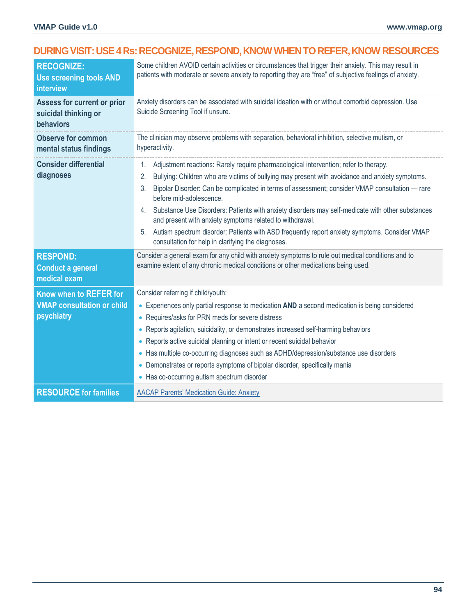# **DURING VISIT: USE 4 Rs: RECOGNIZE, RESPOND, KNOW WHEN TO REFER, KNOW RESOURCES**

| <b>RECOGNIZE:</b><br><b>Use screening tools AND</b><br>interview          | Some children AVOID certain activities or circumstances that trigger their anxiety. This may result in<br>patients with moderate or severe anxiety to reporting they are "free" of subjective feelings of anxiety.                                                                                                                                                                                                                                                                                                                                                                                                                                                        |  |  |
|---------------------------------------------------------------------------|---------------------------------------------------------------------------------------------------------------------------------------------------------------------------------------------------------------------------------------------------------------------------------------------------------------------------------------------------------------------------------------------------------------------------------------------------------------------------------------------------------------------------------------------------------------------------------------------------------------------------------------------------------------------------|--|--|
| <b>Assess for current or prior</b><br>suicidal thinking or<br>behaviors   | Anxiety disorders can be associated with suicidal ideation with or without comorbid depression. Use<br>Suicide Screening Tool if unsure.                                                                                                                                                                                                                                                                                                                                                                                                                                                                                                                                  |  |  |
| <b>Observe for common</b><br>mental status findings                       | The clinician may observe problems with separation, behavioral inhibition, selective mutism, or<br>hyperactivity.                                                                                                                                                                                                                                                                                                                                                                                                                                                                                                                                                         |  |  |
| <b>Consider differential</b><br>diagnoses                                 | Adjustment reactions: Rarely require pharmacological intervention; refer to therapy.<br>1.<br>2.<br>Bullying: Children who are victims of bullying may present with avoidance and anxiety symptoms.<br>Bipolar Disorder: Can be complicated in terms of assessment; consider VMAP consultation - rare<br>3.<br>before mid-adolescence.<br>Substance Use Disorders: Patients with anxiety disorders may self-medicate with other substances<br>4.<br>and present with anxiety symptoms related to withdrawal.<br>Autism spectrum disorder: Patients with ASD frequently report anxiety symptoms. Consider VMAP<br>5.<br>consultation for help in clarifying the diagnoses. |  |  |
| <b>RESPOND:</b><br><b>Conduct a general</b><br>medical exam               | Consider a general exam for any child with anxiety symptoms to rule out medical conditions and to<br>examine extent of any chronic medical conditions or other medications being used.                                                                                                                                                                                                                                                                                                                                                                                                                                                                                    |  |  |
| Know when to REFER for<br><b>VMAP consultation or child</b><br>psychiatry | Consider referring if child/youth:<br>• Experiences only partial response to medication AND a second medication is being considered<br>Requires/asks for PRN meds for severe distress<br>$\bullet$<br>Reports agitation, suicidality, or demonstrates increased self-harming behaviors<br>Reports active suicidal planning or intent or recent suicidal behavior<br>$\bullet$<br>• Has multiple co-occurring diagnoses such as ADHD/depression/substance use disorders<br>Demonstrates or reports symptoms of bipolar disorder, specifically mania<br>$\bullet$<br>Has co-occurring autism spectrum disorder<br>$\bullet$                                                 |  |  |
| <b>RESOURCE for families</b>                                              | <b>AACAP Parents' Medication Guide: Anxiety</b>                                                                                                                                                                                                                                                                                                                                                                                                                                                                                                                                                                                                                           |  |  |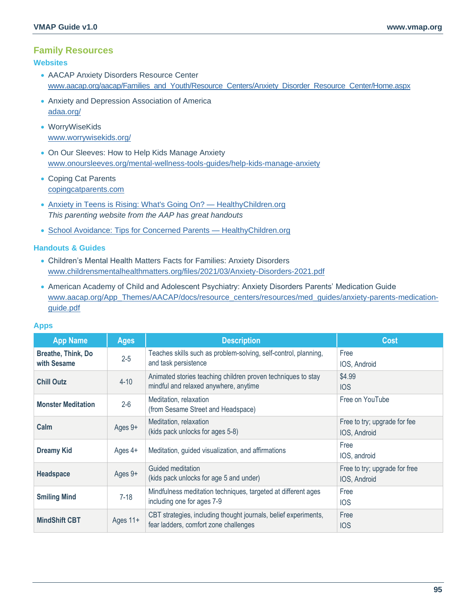## **Family Resources**

#### **Websites**

- AACAP Anxiety Disorders Resource Center [www.aacap.org/aacap/Families\\_and\\_Youth/Resource\\_Centers/Anxiety\\_Disorder\\_Resource\\_Center/Home.aspx](https://www.aacap.org/aacap/Families_and_Youth/Resource_Centers/Anxiety_Disorder_Resource_Center/Home.aspx)
- Anxiety and Depression Association of America [adaa.org/](https://adaa.org/)
- WorryWiseKids [www.worrywisekids.org/](http://www.worrywisekids.org/)
- On Our Sleeves: How to Help Kids Manage Anxiety [www.onoursleeves.org/mental-wellness-tools-guides/help-kids-manage-anxiety](https://www.onoursleeves.org/mental-wellness-tools-guides/help-kids-manage-anxiety)
- Coping Cat Parents [copingcatparents.com](https://www.copingcatparents.com/Helping_Kids)
- [Anxiety in Teens is Rising: What's Going On? —](https://www.healthychildren.org/English/health-issues/conditions/emotional-problems/Pages/Anxiety-Disorders.aspx?_ga=2.23272186.1713562946.1637083849-204084609.1622113705&_gl=1*e64h4q*_ga*MjA0MDg0NjA5LjE2MjIxMTM3MDU.*_ga_FD9D3XZVQQ*MTYzNzA4Mzg0Ni4xNi4xLjE2MzcwODM4NjIuMA..) HealthyChildren.org *This parenting website from the AAP has great handouts*
- [School Avoidance: Tips for Concerned Parents —](https://www.healthychildren.org/English/health-issues/conditions/emotional-problems/Pages/School-Avoidance.aspx?_ga=2.216620758.1713562946.1637083849-204084609.1622113705&_gl=1*isagfn*_ga*MjA0MDg0NjA5LjE2MjIxMTM3MDU.*_ga_FD9D3XZVQQ*MTYzNzA4Mzg0Ni4xNi4xLjE2MzcwODQwNDAuMA..) HealthyChildren.org

#### **Handouts & Guides**

- Children's Mental Health Matters Facts for Families: Anxiety Disorders [www.childrensmentalhealthmatters.org/files/2021/03/Anxiety-Disorders-2021.pdf](https://www.childrensmentalhealthmatters.org/files/2021/03/Anxiety-Disorders-2021.pdf)
- American Academy of Child and Adolescent Psychiatry: Anxiety Disorders Parents' Medication Guide [www.aacap.org/App\\_Themes/AACAP/docs/resource\\_centers/resources/med\\_guides/anxiety-parents-medication](https://www.aacap.org/App_Themes/AACAP/docs/resource_centers/resources/med_guides/anxiety-parents-medication-guide.pdf)[guide.pdf](https://www.aacap.org/App_Themes/AACAP/docs/resource_centers/resources/med_guides/anxiety-parents-medication-guide.pdf)

| <b>App Name</b>                          | <b>Ages</b> | <b>Description</b>                                                                                       | <b>Cost</b>                                   |
|------------------------------------------|-------------|----------------------------------------------------------------------------------------------------------|-----------------------------------------------|
| <b>Breathe, Think, Do</b><br>with Sesame | $2 - 5$     | Teaches skills such as problem-solving, self-control, planning,<br>and task persistence                  | Free<br>IOS, Android                          |
| <b>Chill Outz</b>                        | $4 - 10$    | Animated stories teaching children proven techniques to stay<br>mindful and relaxed anywhere, anytime    | \$4.99<br><b>IOS</b>                          |
| <b>Monster Meditation</b>                | $2 - 6$     | Meditation, relaxation<br>(from Sesame Street and Headspace)                                             | Free on YouTube                               |
| Calm                                     | Ages 9+     | Meditation, relaxation<br>(kids pack unlocks for ages 5-8)                                               | Free to try; upgrade for fee<br>IOS, Android  |
| <b>Dreamy Kid</b>                        | Ages 4+     | Meditation, guided visualization, and affirmations                                                       | Free<br>IOS, android                          |
| <b>Headspace</b>                         | Ages 9+     | Guided meditation<br>(kids pack unlocks for age 5 and under)                                             | Free to try; upgrade for free<br>IOS, Android |
| <b>Smiling Mind</b>                      | $7 - 18$    | Mindfulness meditation techniques, targeted at different ages<br>including one for ages 7-9              | Free<br><b>IOS</b>                            |
| <b>MindShift CBT</b>                     | Ages 11+    | CBT strategies, including thought journals, belief experiments,<br>fear ladders, comfort zone challenges | Free<br><b>IOS</b>                            |

#### **Apps**